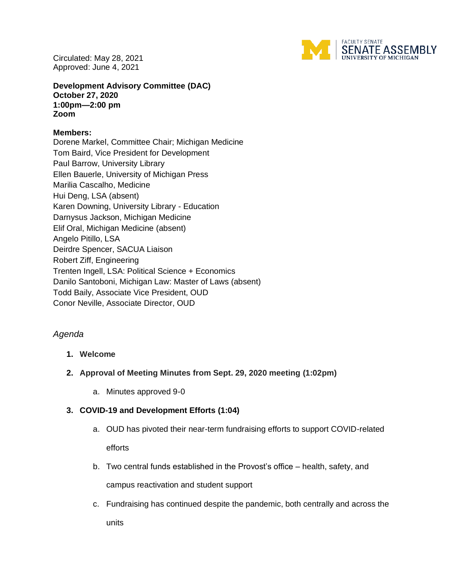Circulated: May 28, 2021 Approved: June 4, 2021



**Development Advisory Committee (DAC) October 27, 2020 1:00pm—2:00 pm Zoom**

### **Members:**

Dorene Markel, Committee Chair; Michigan Medicine Tom Baird, Vice President for Development Paul Barrow, University Library Ellen Bauerle, University of Michigan Press Marilia Cascalho, Medicine Hui Deng, LSA (absent) Karen Downing, University Library - Education Darnysus Jackson, Michigan Medicine Elif Oral, Michigan Medicine (absent) Angelo Pitillo, LSA Deirdre Spencer, SACUA Liaison Robert Ziff, Engineering Trenten Ingell, LSA: Political Science + Economics Danilo Santoboni, Michigan Law: Master of Laws (absent) Todd Baily, Associate Vice President, OUD Conor Neville, Associate Director, OUD

# *Agenda*

# **1. Welcome**

- **2. Approval of Meeting Minutes from Sept. 29, 2020 meeting (1:02pm)**
	- a. Minutes approved 9-0

# **3. COVID-19 and Development Efforts (1:04)**

- a. OUD has pivoted their near-term fundraising efforts to support COVID-related efforts
- b. Two central funds established in the Provost's office health, safety, and campus reactivation and student support
- c. Fundraising has continued despite the pandemic, both centrally and across the units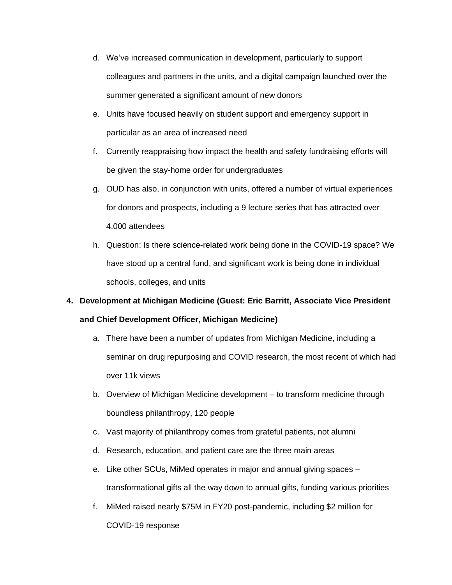- d. We've increased communication in development, particularly to support colleagues and partners in the units, and a digital campaign launched over the summer generated a significant amount of new donors
- e. Units have focused heavily on student support and emergency support in particular as an area of increased need
- f. Currently reappraising how impact the health and safety fundraising efforts will be given the stay-home order for undergraduates
- g. OUD has also, in conjunction with units, offered a number of virtual experiences for donors and prospects, including a 9 lecture series that has attracted over 4,000 attendees
- h. Question: Is there science-related work being done in the COVID-19 space? We have stood up a central fund, and significant work is being done in individual schools, colleges, and units

# **4. Development at Michigan Medicine (Guest: Eric Barritt, Associate Vice President and Chief Development Officer, Michigan Medicine)**

- a. There have been a number of updates from Michigan Medicine, including a seminar on drug repurposing and COVID research, the most recent of which had over 11k views
- b. Overview of Michigan Medicine development to transform medicine through boundless philanthropy, 120 people
- c. Vast majority of philanthropy comes from grateful patients, not alumni
- d. Research, education, and patient care are the three main areas
- e. Like other SCUs, MiMed operates in major and annual giving spaces transformational gifts all the way down to annual gifts, funding various priorities
- f. MiMed raised nearly \$75M in FY20 post-pandemic, including \$2 million for COVID-19 response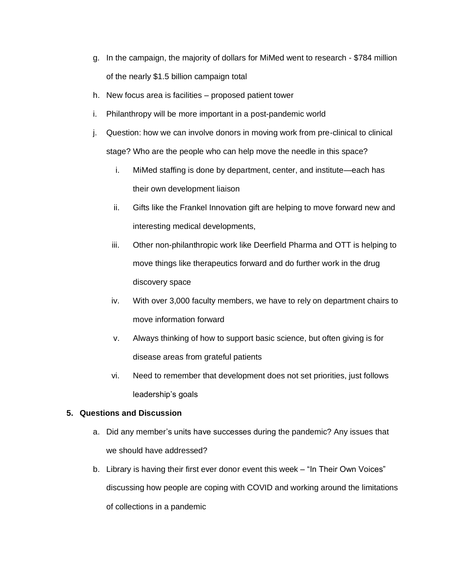- g. In the campaign, the majority of dollars for MiMed went to research \$784 million of the nearly \$1.5 billion campaign total
- h. New focus area is facilities proposed patient tower
- i. Philanthropy will be more important in a post-pandemic world
- j. Question: how we can involve donors in moving work from pre-clinical to clinical stage? Who are the people who can help move the needle in this space?
	- i. MiMed staffing is done by department, center, and institute—each has their own development liaison
	- ii. Gifts like the Frankel Innovation gift are helping to move forward new and interesting medical developments,
	- iii. Other non-philanthropic work like Deerfield Pharma and OTT is helping to move things like therapeutics forward and do further work in the drug discovery space
	- iv. With over 3,000 faculty members, we have to rely on department chairs to move information forward
	- v. Always thinking of how to support basic science, but often giving is for disease areas from grateful patients
	- vi. Need to remember that development does not set priorities, just follows leadership's goals

#### **5. Questions and Discussion**

- a. Did any member's units have successes during the pandemic? Any issues that we should have addressed?
- b. Library is having their first ever donor event this week "In Their Own Voices" discussing how people are coping with COVID and working around the limitations of collections in a pandemic